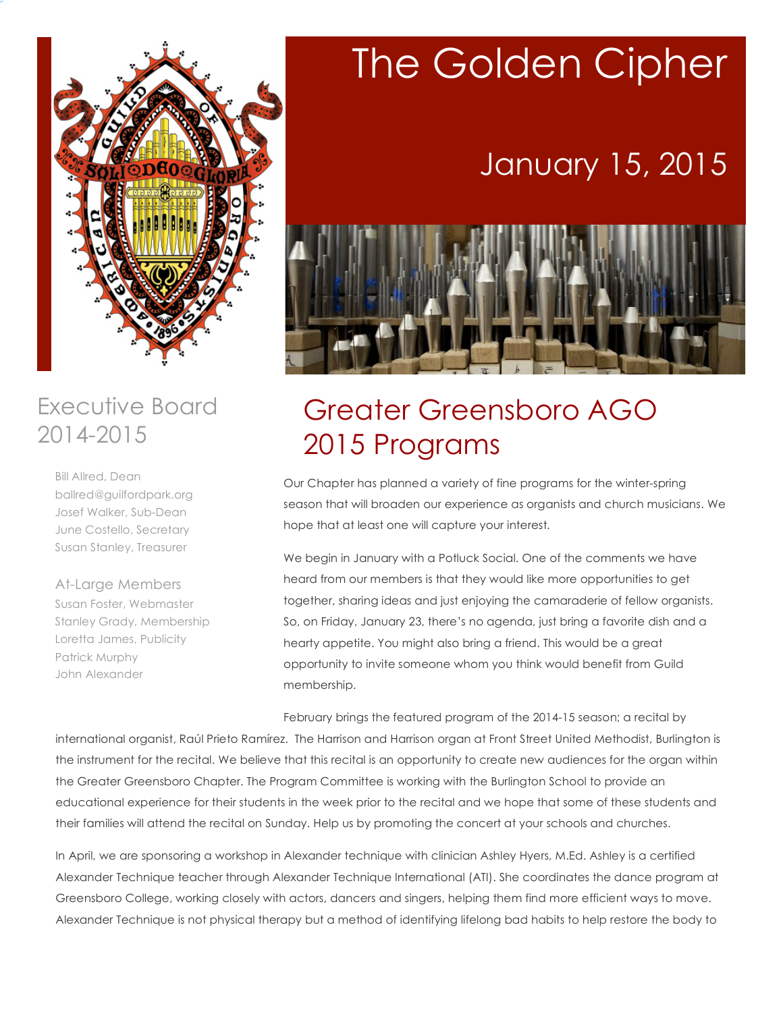

### Executive Board 2014-2015

Bill Allred, Dean ballred@guilfordpark.org Josef Walker, Sub-Dean June Costello, Secretary Susan Stanley, Treasurer

At-Large Members Susan Foster, Webmaster Stanley Grady, Membership Loretta James, Publicity Patrick Murphy John Alexander

# The Golden Cipher

# January 15, 2015



## Greater Greensboro AGO 2015 Programs

Our Chapter has planned a variety of fine programs for the winter-spring season that will broaden our experience as organists and church musicians. We hope that at least one will capture your interest.

We begin in January with a Potluck Social. One of the comments we have heard from our members is that they would like more opportunities to get together, sharing ideas and just enjoying the camaraderie of fellow organists. So, on Friday, January 23, there's no agenda, just bring a favorite dish and a hearty appetite. You might also bring a friend. This would be a great opportunity to invite someone whom you think would benefit from Guild membership.

February brings the featured program of the 2014-15 season; a recital by

international organist, Raúl Prieto Ramírez. The Harrison and Harrison organ at Front Street United Methodist, Burlington is the instrument for the recital. We believe that this recital is an opportunity to create new audiences for the organ within the Greater Greensboro Chapter. The Program Committee is working with the Burlington School to provide an educational experience for their students in the week prior to the recital and we hope that some of these students and their families will attend the recital on Sunday. Help us by promoting the concert at your schools and churches.

In April, we are sponsoring a workshop in Alexander technique with clinician Ashley Hyers, M.Ed. Ashley is a certified Alexander Technique teacher through Alexander Technique International (ATI). She coordinates the dance program at Greensboro College, working closely with actors, dancers and singers, helping them find more efficient ways to move. Alexander Technique is not physical therapy but a method of identifying lifelong bad habits to help restore the body to